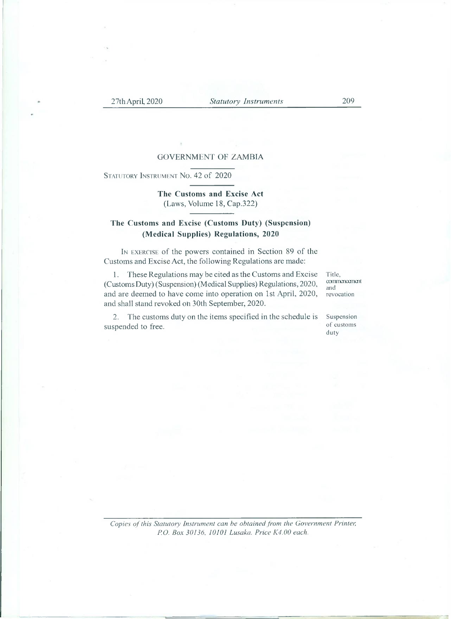#### GOVERNMENT OF ZAMBIA

STATUTORY INSTRUMENT No. 42 of 2020

### **The Customs and Excise Act** (Laws, Volume 18, Cap.322)

## **The Customs and Excise (Customs Duty) (Suspension) (Medical Supplies) Regulations, 2020**

I<sup>n</sup> exercise of the powers contained in Section 89 of the Customs and Excise Act, the following Regulations are made:

1. These Regulations may be cited as the Customs and Excise (Customs Duty) (Suspension) (Medical Supplies) Regulations, 2020, and are deemed to have come into operation on 1st April, 2020, and shall stand revoked on 30th September, 2020.

Title, commencement and revocation

2. The customs duty on the items specified in the schedule is suspended to free.

Suspension of customs duty

*Copies ofthis Statutory Instrument can he obtainedfrom the Government Printer, P.O. Box 30136. 10101 Lusaka. Price K4.00 each.*